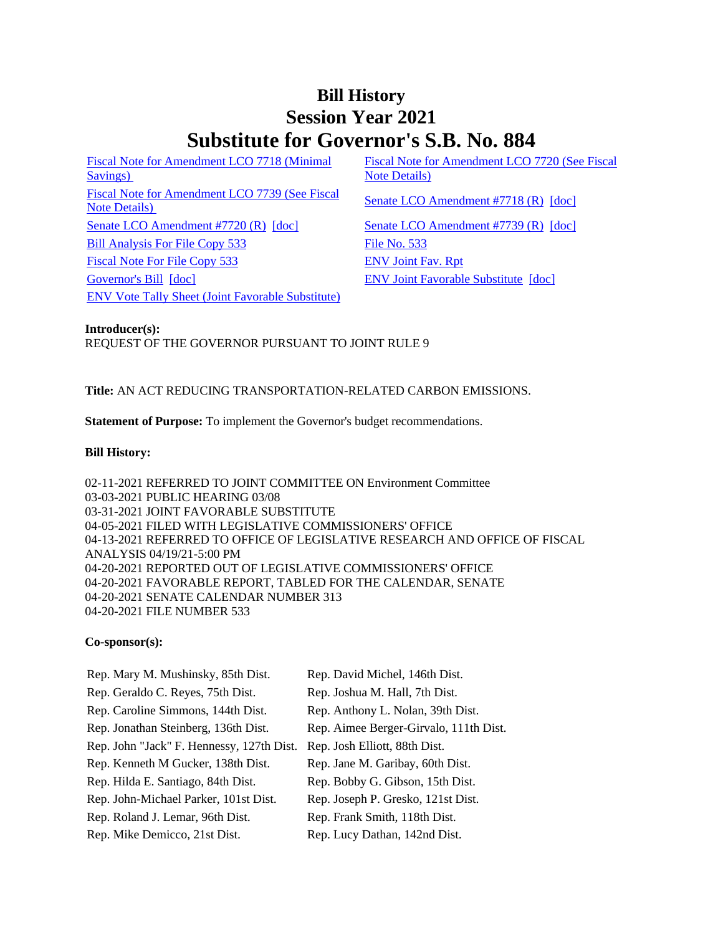# **Bill History Session Year 2021 Substitute for Governor's S.B. No. 884**

[Fiscal Note for Amendment LCO 7718 \(Minimal](/2021/fna/pdf/2021SB-00884-R00LCO07718-FNA.PDF)  [Savings\)](/2021/fna/pdf/2021SB-00884-R00LCO07718-FNA.PDF)  [Fiscal Note for Amendment LCO 7739 \(See Fiscal](/2021/fna/pdf/2021SB-00884-R00LCO07739-FNA.pdf)  <u>Senate LCO Amendment LCO 1139 (See Fiscal</u> [Senate LCO Amendment #7718 \(R\)](/2021/lcoamd/pdf/2021LCO07718-R00-AMD.pdf) [\[doc\]](https://search.cga.state.ct.us/dl2021/aml/doc/2021LCO07718-R00-AMD.docx)<br>Note Details) [Senate LCO Amendment #7720 \(R\)](/2021/lcoamd/pdf/2021LCO07720-R00-AMD.pdf) [\[doc\]](https://search.cga.state.ct.us/dl2021/aml/doc/2021LCO07739-R00-AMD.docx) [Senate LCO Amendment #7739 \(R\)](/2021/lcoamd/pdf/2021LCO07739-R00-AMD.pdf) [doc] [Bill Analysis For File Copy 533](/2021/BA/PDF/2021SB-00884-R000533-BA.PDF) [File No. 533](/2021/FC/PDF/2021SB-00884-R000533-FC.PDF) [Fiscal Note For File Copy 533](/2021/FN/PDF/2021SB-00884-R000533-FN.PDF) [ENV Joint Fav. Rpt](/2021/JFR/S/PDF/2021SB-00884-R00ENV-JFR.PDF) [Governor's Bill](/2021/TOB/S/PDF/2021SB-00884-R00-SB.PDF) [\[doc\]](https://search.cga.state.ct.us/dl2021/TOB/DOC/2021SB-00884-R01-SB.DOCX) [ENV Joint Favorable Substitute](/2021/TOB/S/PDF/2021SB-00884-R01-SB.PDF) [doc] [ENV Vote Tally Sheet \(Joint Favorable Substitute\)](/2021/TS/S/PDF/2021SB-00884-R00ENV-CV60-TS.PDF)

[Fiscal Note for Amendment LCO 7720 \(See Fiscal](/2021/fna/pdf/2021SB-00884-R00LCO07720-FNA.PDF)  [Note Details\)](/2021/fna/pdf/2021SB-00884-R00LCO07720-FNA.PDF) 

## **Introducer(s):** REQUEST OF THE GOVERNOR PURSUANT TO JOINT RULE 9

# **Title:** AN ACT REDUCING TRANSPORTATION-RELATED CARBON EMISSIONS.

**Statement of Purpose:** To implement the Governor's budget recommendations.

### **Bill History:**

02-11-2021 REFERRED TO JOINT COMMITTEE ON Environment Committee 03-03-2021 PUBLIC HEARING 03/08 03-31-2021 JOINT FAVORABLE SUBSTITUTE 04-05-2021 FILED WITH LEGISLATIVE COMMISSIONERS' OFFICE 04-13-2021 REFERRED TO OFFICE OF LEGISLATIVE RESEARCH AND OFFICE OF FISCAL ANALYSIS 04/19/21-5:00 PM 04-20-2021 REPORTED OUT OF LEGISLATIVE COMMISSIONERS' OFFICE 04-20-2021 FAVORABLE REPORT, TABLED FOR THE CALENDAR, SENATE 04-20-2021 SENATE CALENDAR NUMBER 313 04-20-2021 FILE NUMBER 533

#### **Co-sponsor(s):**

| Rep. Mary M. Mushinsky, 85th Dist.        | Rep. David Michel, 146th Dist.         |
|-------------------------------------------|----------------------------------------|
| Rep. Geraldo C. Reyes, 75th Dist.         | Rep. Joshua M. Hall, 7th Dist.         |
| Rep. Caroline Simmons, 144th Dist.        | Rep. Anthony L. Nolan, 39th Dist.      |
| Rep. Jonathan Steinberg, 136th Dist.      | Rep. Aimee Berger-Girvalo, 111th Dist. |
| Rep. John "Jack" F. Hennessy, 127th Dist. | Rep. Josh Elliott, 88th Dist.          |
| Rep. Kenneth M Gucker, 138th Dist.        | Rep. Jane M. Garibay, 60th Dist.       |
| Rep. Hilda E. Santiago, 84th Dist.        | Rep. Bobby G. Gibson, 15th Dist.       |
| Rep. John-Michael Parker, 101st Dist.     | Rep. Joseph P. Gresko, 121st Dist.     |
| Rep. Roland J. Lemar, 96th Dist.          | Rep. Frank Smith, 118th Dist.          |
| Rep. Mike Demicco, 21st Dist.             | Rep. Lucy Dathan, 142nd Dist.          |
|                                           |                                        |